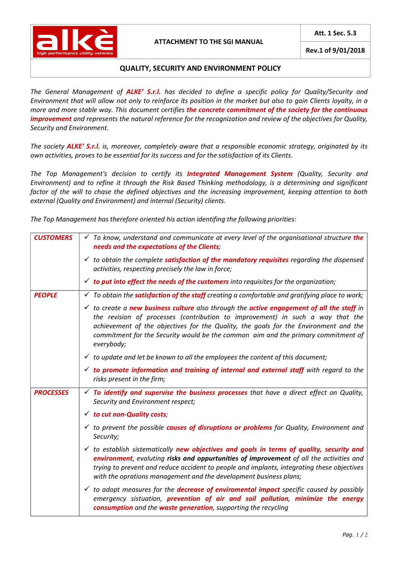

## ATTACHMENT TO THE SGI MANUAL

Rev.1 of 9/01/2018

## QUALITY, SECURITY AND ENVIRONMENT POLICY

The General Management of ALKE' S.r.l. has decided to define a specific policy for Quality/Security and Environment that will allow not only to reinforce its position in the market but also to gain Clients loyalty, in a more and more stable way. This document certifies the concrete commitment of the society for the continuous improvement and represents the natural reference for the recognization and review of the objectives for Quality, Security and Environment.

The society ALKE' S.r.l. is, moreover, completely aware that a responsible economic strategy, originated by its own activities, proves to be essential for its success and for the satisfaction of its Clients.

The Top Management's decision to certify its **Integrated Management System** (Quality, Security and Environment) and to refine it through the Risk Based Thinking methodology, is a determining and significant factor of the will to chase the defined objectives and the increasing improvement, keeping attention to both external (Quality and Environment) and internal (Security) clients.

The Top Management has therefore oriented his action identifing the following priorities:

| <b>CUSTOMERS</b> | $\checkmark$ To know, understand and communicate at every level of the organisational structure the<br>needs and the expectations of the Clients;                                                                                                                                                                                                                                 |
|------------------|-----------------------------------------------------------------------------------------------------------------------------------------------------------------------------------------------------------------------------------------------------------------------------------------------------------------------------------------------------------------------------------|
|                  | $\checkmark$ to obtain the complete <b>satisfaction of the mandatory requisites</b> regarding the dispensed<br>activities, respecting precisely the law in force;                                                                                                                                                                                                                 |
|                  | $\checkmark$ to put into effect the needs of the customers into requisites for the organization;                                                                                                                                                                                                                                                                                  |
| <b>PEOPLE</b>    | $\checkmark$ To obtain the <b>satisfaction of the staff</b> creating a comfortable and gratifying place to work;                                                                                                                                                                                                                                                                  |
|                  | $\checkmark$ to create a new business culture also through the active engagement of all the staff in<br>the revision of processes (contribution to improvement) in such a way that the<br>achievement of the objectives for the Quality, the goals for the Environment and the<br>commitment for the Security would be the common aim and the primary commitment of<br>everybody; |
|                  | $\checkmark$ to update and let be known to all the employees the content of this document;                                                                                                                                                                                                                                                                                        |
|                  | $\checkmark$ to promote information and training of internal and external staff with regard to the<br>risks present in the firm;                                                                                                                                                                                                                                                  |
| <b>PROCESSES</b> | $\checkmark$ To identify and supervise the business processes that have a direct effect on Quality,<br>Security and Environment respect;                                                                                                                                                                                                                                          |
|                  | $\checkmark$ to cut non-Quality costs;                                                                                                                                                                                                                                                                                                                                            |
|                  | $\checkmark$ to prevent the possible causes of disruptions or problems for Quality, Environment and<br>Security;                                                                                                                                                                                                                                                                  |
|                  | $\checkmark$ to establish sistematically new objectives and goals in terms of quality, security and<br>environment, evaluting risks and oppurtunities of improvement of all the activities and<br>trying to prevent and reduce accident to people and implants, integrating these objectives<br>with the oprations management and the development business plans;                 |
|                  | $\checkmark$ to adopt measures for the <b>decrease of enviromental impact</b> specific caused by possibly<br>emergency sistuation, prevention of air and soil pollution, minimize the energy<br>consumption and the waste generation, supporting the recycling                                                                                                                    |